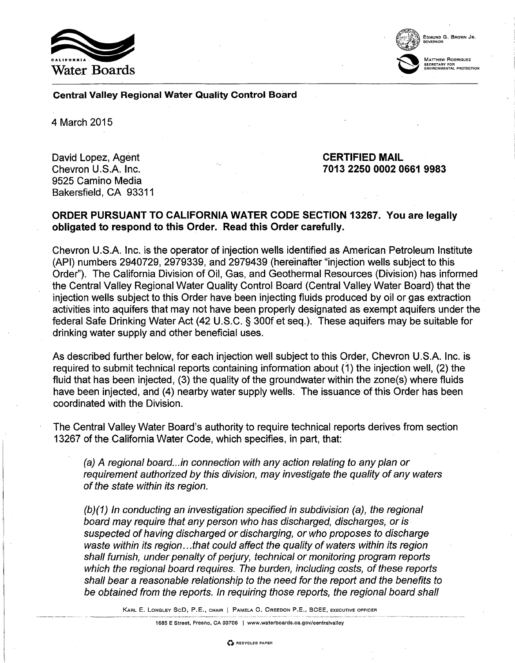



SECRETARY FOR<br>ENVIRONMENTAL PROTECTION

Central Valley Regional Water Quality Control Board

4 March 2015

David Lopez, Agent Chevron U.S.A. Inc. 9525 Camino Media Bakersfield, CA 93311 CERTIFIED MAIL 7013 2250 0002 0661 9983

## ORDER PURSUANT TO CALIFORNIA WATER CODE SECTION 13267. You are legally obligated to respond to this Order. Read this Order carefully.

Chevron U.S.A. Inc. is the operator of injection wells identified as American Petroleum Institute (API) numbers 2940729, 2979339, and 2979439 (hereinafter "injection wells subject to this Order"). The California Division of Oil, Gas, and Geothermal Resources (Division) has informed the Central Valley Regional Water Quality Control Board (Central Valley Water Board) that the· injection wells subject to this Order have been injecting fluids produced by oil or gas extraction activities into aquifers that may not have been properly designated as exempt aquifers under the federal Safe Drinking Water Act (42 U.S.C. § 300f et seq.). These aquifers may be suitable for drinking water supply and other beneficial uses.

As described further below, for each injection well subject to this Order, Chevron U.S.A. Inc. is required to submit technical reports containing information about  $(1)$  the injection well,  $(2)$  the fluid that has been injected, (3) the quality of the groundwater within the zone(s) where fluids have been injected, and (4) nearby water supply wells. The issuance of this Order has been coordinated with the Division.

The Central Valley Water Board's authority to require technical reports derives from section 13267 of the California Water Code, which specifies, in part, that:

(a) A regional board... in connection with any action relating to any plan or requirement authorized by this division, may investigate the quality of any waters of the state within its region.

(b)(1) In conducting an investigation specified in subdivision (a), the regional board may require that any person who has discharged, discharges, or is suspected of having discharged or discharging, or who proposes to discharge waste within its region...that could affect the quality of waters within its region shall furnish, under penalty of perjury, technical or monitoring program reports which the regional board requires. The burden, including costs, of these reports shall bear a reasonable relationship to the need for the report and the benefits to be obtained from the reports. In requiring those reports, the regional board shall

KARL E. LONGLEY SeD, P.E., CHAIR I PAMELA C. CREEDON P.E., BCEE, EXECUTIVE OFFICER

1685 E Street, Fresno, CA 93706 | www.waterboards.ca.gov/centralvalley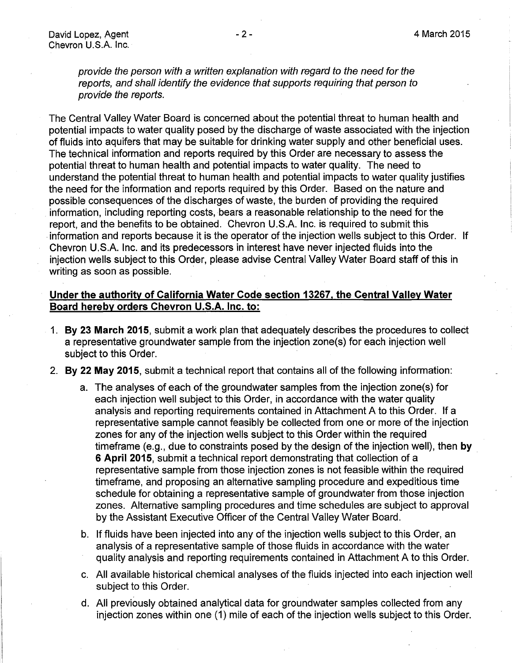provide the person with a written explanation with regard to the need for the reports, and shall identify the evidence that supports requiring that person to provide the reports.

The Central Valley Water Board is concerned about the potential threat to human health and potential impacts to water quality posed by the discharge of waste associated with the injection of fluids into aquifers that may be suitable for drinking water supply and other beneficial uses. The technical information and reports required by this Order are necessary to assess the potential threat to human health and potential impacts to water quality. The need to understand the potential threat to human health and potential impacts to water quality justifies the need for the information and reports required by this Order. Based on the nature and possible consequences of the discharges of waste, the burden of providing the required information, including reporting costs, bears a reasonable relationship to the need for the report, and the benefits to be obtained. Chevron U.S.A. Inc. is required to submit this . information and reports because it is the operator of the injection wells subject to this Order. If Chevron U.S.A. Inc. and its predecessors in interest have never injected fluids into the injection wells subject to this Order, please advise Central Valley Water Board staff of this in writing as soon as possible.

## **Under the authority of California Water Code section 13267, the Central Valley Water Board hereby orders Chevron U.S.A. Inc. to:**

- 1. **By 23 March 2015, submit a work plan that adequately describes the procedures to collect** a representative groundwater sample from the injection zone(s) for each injection well subject to this Order.
- 2. **By 22 May 2015,** submit a technical report that contains all of the following information:
	- a. The analyses of each of the groundwater samples from the injection zone(s) for each injection well subject to this Order, in accordance with the water quality analysis and reporting requirements contained in Attachment A to this Order. If a representative sample cannot feasibly be collected from one or more of the injection zones for any of the injection wells subject to this Order within the required timeframe (e.g., due to constraints posed by the design of the injection well), then **by** . **6 April 2015,** submit a technical report demonstrating that collection of a representative sample from those injection zones is not feasible within the required timeframe, and proposing an alternative sampling procedure and expeditious time schedule for obtaining a representative sample of groundwater from those injection zones. Alternative sampling procedures and time schedules are subject to approval by the Assistant Executive Officer of the Central Valley Water Board.
	- b. If fluids have been injected into any of the injection wells subject to this Order, an analysis of a representative sample of those fluids in accordance with the water quality analysis and reporting requirements contained in Attachment A to this Order.
	- c. All available historical chemical analyses of the fluids injected into each injection well subject to this Order.
	- d. All previously obtained analytical data for groundwater samples collected from any injection zones within one (1) mile of each of the injection wells subject to this Order.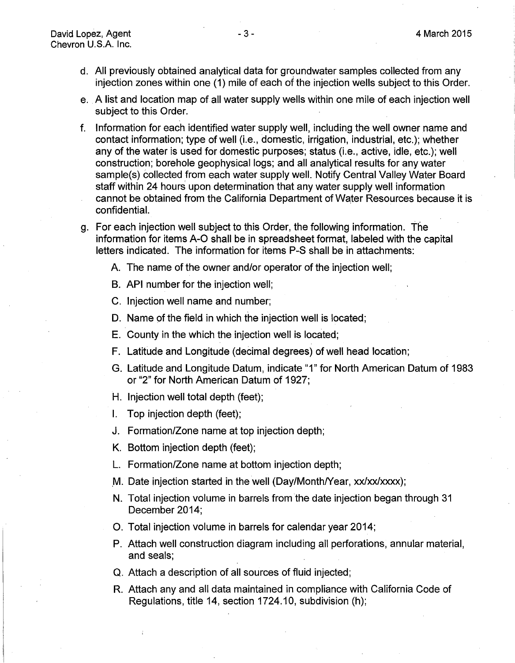- d. All previously obtained analytical data for groundwater samples collected from any injection zones within one (1) mile of each of the injection wells subject to this Order.
- e. A list and location map of all water supply wells within one mile of each injection well subject to this Order.
- f. Information for each identified water supply well, including the well owner name and contact information; type of well (i.e., domestic, irrigation, industrial, etc.); whether any of the water is used for domestic purposes; status (i.e., active, idle, etc.); well construction; borehole geophysical logs; and all analytical results for any water sample(s) collected from each water supply well. Notify Central Valley Water Board staff within 24 hours upon determination that any water supply well information cannot be obtained from the California Department of Water Resources because it is confidential.
- g. For each injection well subject to this Order, the following information. The information for items A-0 shall be in spreadsheet format, labeled with the capital letters indicated. The information for items P-S shall be in attachments:
	- A. The name of the owner and/or operator of the injection well;
	- B. API number for the injection well;
	- C. Injection well name and number;
	- D. Name of the field in which the injection well is located;
	- E. County in the which the injection well is located;
	- F. Latitude and Longitude (decimal degrees) of well head location;
	- G. Latitude and Longitude Datum, indicate "1" for North American Datum of 1983 or "2" for North American Datum of 1927;
	- H. Injection well total depth (feet);
	- I. Top injection depth (feet);
	- J. Formation/Zone name at top injection depth;
	- K. Bottom injection depth (feet);
	- L. Formation/Zone name at bottom injection depth;
	- M. Date injection started in the well (Day/Month/Year, xx/xx/xxxx);
	- N. Total injection volume in barrels from the date injection began through 31 December 2014;
	- 0. Total injection volume in barrels for calendar year 2014;
	- P. Attach well construction diagram including all perforations, annular material, and seals;
	- Q. Attach a description of all sources of fluid injected;
	- R. Attach any and all data maintained in compliance with California Code of Regulations, title 14, section 1724.10, subdivision (h);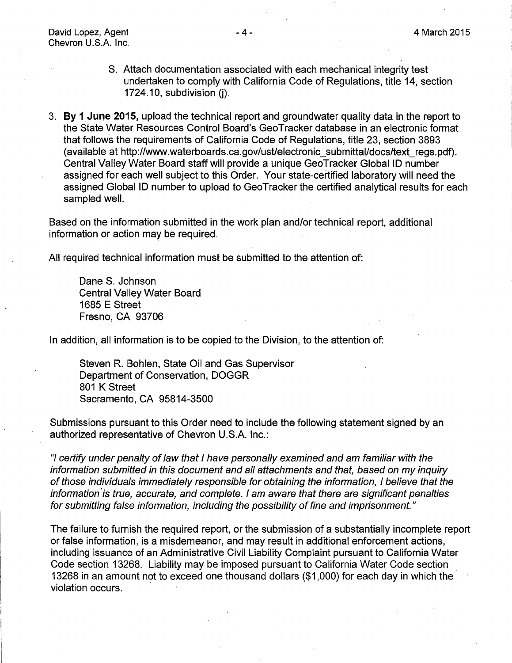- S. Attach documentation associated with each mechanical integrity test undertaken to comply with California Code of Regulations, title 14, section  $1724.10$ , subdivision (i).
- 3. **By 1 June 2015,** upload the technical report and groundwater quality data in the report to the State Water Resources Control Board's GeoTracker database in an electronic format that follows the requirements of California Code of Regulations, title 23, section 3893 (available at http://www.waterboards.ca.gov/ust/electronic\_submittal/docs/text\_regs.pdf). Central Valley Water Board staff will provide a unique GeoTracker Global ID number assigned for each well subject to this Order. Your state-certified laboratory will need the assigned Global ID number to upload to GeoTracker the certified analytical results for each sampled well.

Based on the information submitted in the work plan and/or technical report, additional information or action may be required.

All required technical information must be submitted to the attention of:

Dane S. Johnson Central Valley Water Board 1685 E Street Fresno, CA 93706

In addition, all information is to be copied to the Division, to the attention of:

Steven R. Bohlen, State Oil and Gas Supervisor Department of Conservation, DOGGR 801 K Street Sacramento, CA 95814-3500

Submissions pursuant to this Order need to include the following statement signed by an authorized representative of Chevron U.S.A. Inc.:

"I certify under penalty of law that I have personally examined and am familiar with the information submitted in this document and all attachments and that, based on my inquiry of those individuals immediately responsible for obtaining the information, I believe that the information is true, accurate, and complete. I am aware that there are significant penalties for submitting false information, including the possibility of fine and imprisonment."

The failure to furnish the required report, or the submission of a substantially incomplete report or false information, is a misdemeanor, and may result in additional enforcement actions, including issuance of an Administrative Civil Liability Complaint pursuant to California Water Code section 13268. Liability may be imposed pursuant to California Water Code section 13268 in an amount not to exceed one thousand dollars (\$1 ,000) for each day in which the violation occurs.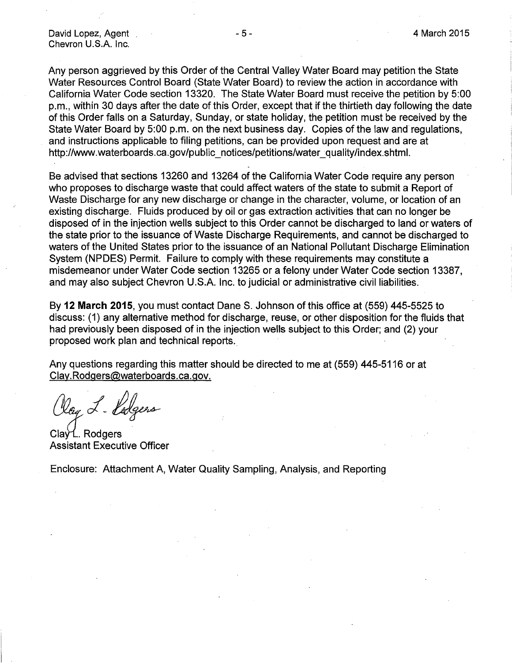Any person aggrieved by this Order of the Central Valley Water Board may petition the State Water Resources Control Board (State Water Board) to review the action in accordance with California Water Code section 13320. The State Water Board must receive the petition by 5:00 p.m., within 30 days after the date of this Order, except that if the thirtieth day following the date of this Order falls on a Saturday, Sunday, or state holiday, the petition must be received by the State Water Board by 5:00 p.m. on the next business day. Copies of the law and· regulations, and instructions applicable to filing petitions, can be provided upon request and are at http://www.waterboards.ca.gov/public\_notices/petitions/water\_quality/index.shtml.

Be advised that sections 13260 and 13264 of the California Water Code require any person who proposes to discharge waste that could affect waters of the state to submit a Report of Waste Discharge for any new discharge or change in the character, volume, or location of an existing discharge. Fluids produced by oil or gas extraction activities that can no longer be disposed of in the injection wells subject to this Order cannot be discharged to land or waters of the state prior to the issuance of Waste Discharge Requirements, and cannot be discharged to waters of the United States prior to the issuance of an National Pollutant Discharge Elimination System (NPDES) Permit. Failure to comply with these requirements may constitute a misdemeanor under Water Code section 13265 or a felony under Water Code section 13387, and may also subject Chevron U.S.A. Inc. to judicial or administrative civil liabilities.

By 12 March 2015, you must contact Dane S. Johnson of this office at (559) 445-5525 to discuss: (1) any alternative method for discharge, reuse, or other disposition for the fluids that had previously been disposed of in the injection wells subject to this Order; and (2) your proposed work plan and technical reports.

Any questions regarding this matter should be directed to me at (559) 445-5116 or at Clay. Rodgers@waterboards.ca.gov.

Olay L-Vodgers

Clay L. Rodgers Assistant Executive Officer

Enclosure: Attachment A, Water Quality Sampling, Analysis, and Reporting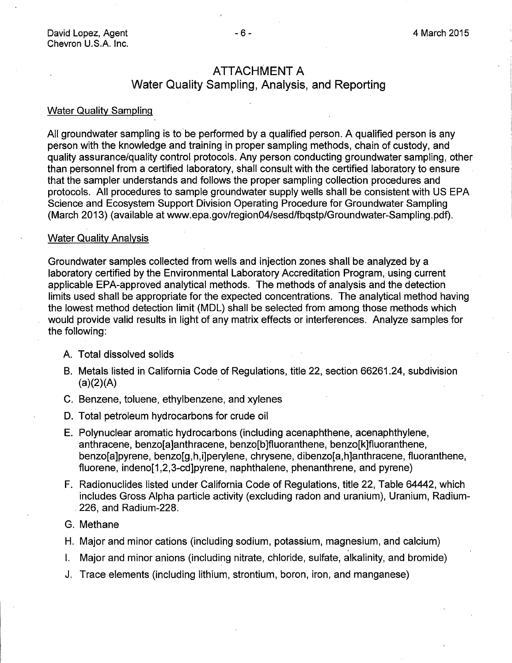# ATTACHMENT A

# Water Quality Sampling, Analysis, and Reporting

### Water Quality Sampling

All groundwater sampling is to be performed by a qualified person. A qualified person is any person with the knowledge and training in proper sampling methods, chain of custody, and quality assurance/quality control protocols. Any person conducting groundwater sampling, other than personnel from a certified laboratory, shall consult with the certified laboratory to ensure that the sampler understands and follows the proper sampling collection procedures and protocols. All procedures to sample groundwater supply wells shall be consistent with US EPA Science and Ecosystem Support Division Operating Procedure for Groundwater Sampling (March 2013) (available at www.epa.gov/region04/sesd/fbqstp/Groundwater-Sampling.pdf).

### Water Quality Analysis

Groundwater samples collected from wells and injection zones shall be analyzed by a laboratory certified by the Environmental Laboratory Accreditation Program, using current applicable EPA-approved analytical methods. The methods of analysis and the detection limits used shall be appropriate for the expected concentrations. The analytical method having the lowest method detection limit (MDL) shall be selected from among those methods which would provide valid results in light of any matrix effects or interferences. Analyze samples for the following:

- A. Total dissolved solids
- B. Metals listed in California Code of Regulations, title 22, section 66261.24, subdivision  $(a)(2)(A)$
- C. Benzene, toluene, ethylbenzene, and xylenes
- D. Total petroleum hydrocarbons for crude oil
- E. Polynuclear aromatic hydrocarbons (including acenaphthene, acenaphthylene, anthracene, benzo[a]anthracene, benzo[b]fluoranthene; benzo[k]fluoranthene, benzo[a]pyrene, benzo[g,h,i]perylene, chrysene, dibenzo[a,h]anthracene, fluoranthene, fluorene, indeno[1,2,3-cd]pyrene, naphthalene, phenanthrene, and pyrene)
- F. Radionuclides listed under California Code of Regulations, title 22, Table 64442, which includes Gross Alpha particle activity (excluding radon and uranium), Uranium, Radium- . 226, and Radium-228.
- G. Methane
- H. Major and minor cations (including sodium, potassium, magnesium, and calcium)
- I. Major and minor anions (including nitrate, chloride, sulfate, alkalinity, and bromide)
- J. Trace elements (including lithium, strontium, boron, iron, and manganese)